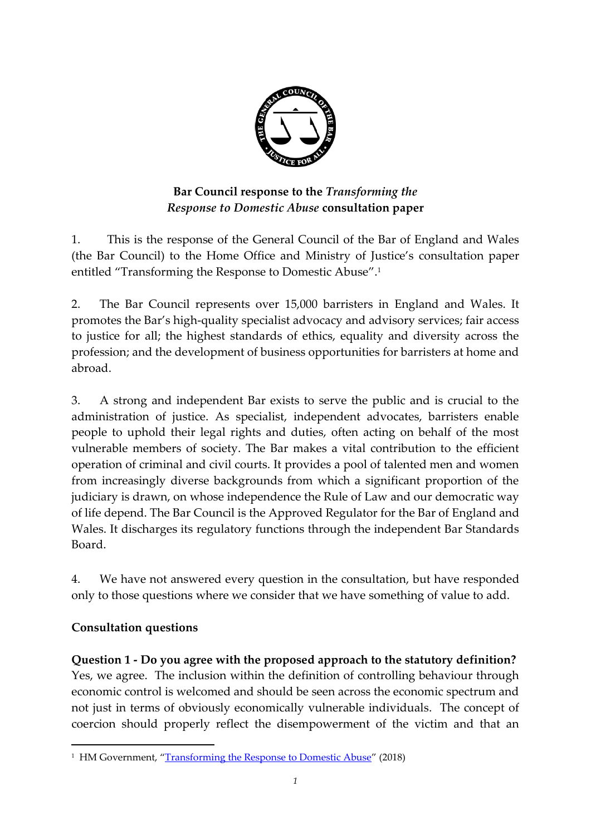

# **Bar Council response to the** *Transforming the Response to Domestic Abuse* **consultation paper**

1. This is the response of the General Council of the Bar of England and Wales (the Bar Council) to the Home Office and Ministry of Justice's consultation paper entitled "Transforming the Response to Domestic Abuse". 1

2. The Bar Council represents over 15,000 barristers in England and Wales. It promotes the Bar's high-quality specialist advocacy and advisory services; fair access to justice for all; the highest standards of ethics, equality and diversity across the profession; and the development of business opportunities for barristers at home and abroad.

3. A strong and independent Bar exists to serve the public and is crucial to the administration of justice. As specialist, independent advocates, barristers enable people to uphold their legal rights and duties, often acting on behalf of the most vulnerable members of society. The Bar makes a vital contribution to the efficient operation of criminal and civil courts. It provides a pool of talented men and women from increasingly diverse backgrounds from which a significant proportion of the judiciary is drawn, on whose independence the Rule of Law and our democratic way of life depend. The Bar Council is the Approved Regulator for the Bar of England and Wales. It discharges its regulatory functions through the independent Bar Standards Board.

4. We have not answered every question in the consultation, but have responded only to those questions where we consider that we have something of value to add.

## **Consultation questions**

 $\overline{a}$ 

**Question 1 - Do you agree with the proposed approach to the statutory definition?** Yes, we agree. The inclusion within the definition of controlling behaviour through economic control is welcomed and should be seen across the economic spectrum and not just in terms of obviously economically vulnerable individuals. The concept of coercion should properly reflect the disempowerment of the victim and that an

<sup>&</sup>lt;sup>1</sup> HM Government, "[Transforming the Response to Domestic Abuse](https://consult.justice.gov.uk/homeoffice-moj/domestic-abuse-consultation/supporting_documents/Transforming%20the%20response%20to%20domestic%20abuse.pdf)" (2018)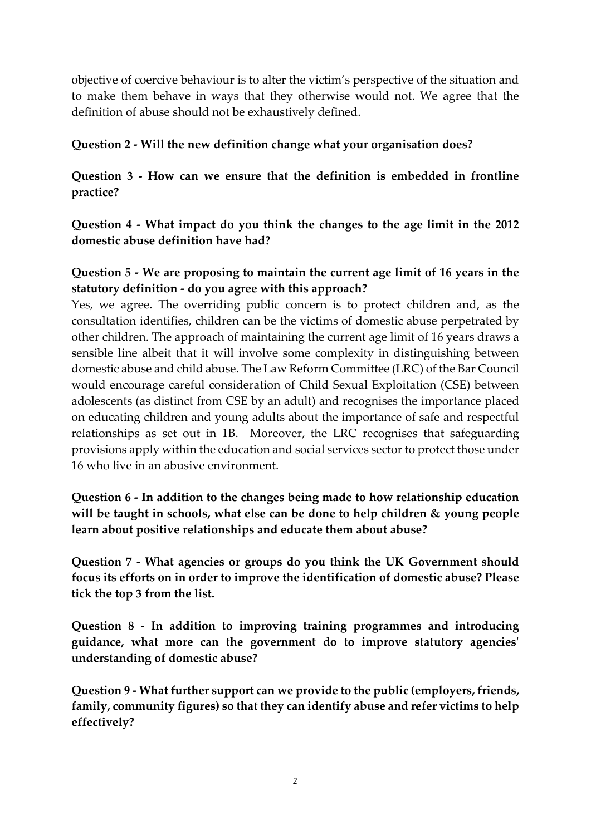objective of coercive behaviour is to alter the victim's perspective of the situation and to make them behave in ways that they otherwise would not. We agree that the definition of abuse should not be exhaustively defined.

#### **Question 2 - Will the new definition change what your organisation does?**

**Question 3 - How can we ensure that the definition is embedded in frontline practice?**

**Question 4 - What impact do you think the changes to the age limit in the 2012 domestic abuse definition have had?**

## **Question 5 - We are proposing to maintain the current age limit of 16 years in the statutory definition - do you agree with this approach?**

Yes, we agree. The overriding public concern is to protect children and, as the consultation identifies, children can be the victims of domestic abuse perpetrated by other children. The approach of maintaining the current age limit of 16 years draws a sensible line albeit that it will involve some complexity in distinguishing between domestic abuse and child abuse. The Law Reform Committee (LRC) of the Bar Council would encourage careful consideration of Child Sexual Exploitation (CSE) between adolescents (as distinct from CSE by an adult) and recognises the importance placed on educating children and young adults about the importance of safe and respectful relationships as set out in 1B. Moreover, the LRC recognises that safeguarding provisions apply within the education and social services sector to protect those under 16 who live in an abusive environment.

**Question 6 - In addition to the changes being made to how relationship education will be taught in schools, what else can be done to help children & young people learn about positive relationships and educate them about abuse?**

**Question 7 - What agencies or groups do you think the UK Government should focus its efforts on in order to improve the identification of domestic abuse? Please tick the top 3 from the list.** 

**Question 8 - In addition to improving training programmes and introducing guidance, what more can the government do to improve statutory agencies' understanding of domestic abuse?**

**Question 9 - What further support can we provide to the public (employers, friends, family, community figures) so that they can identify abuse and refer victims to help effectively?**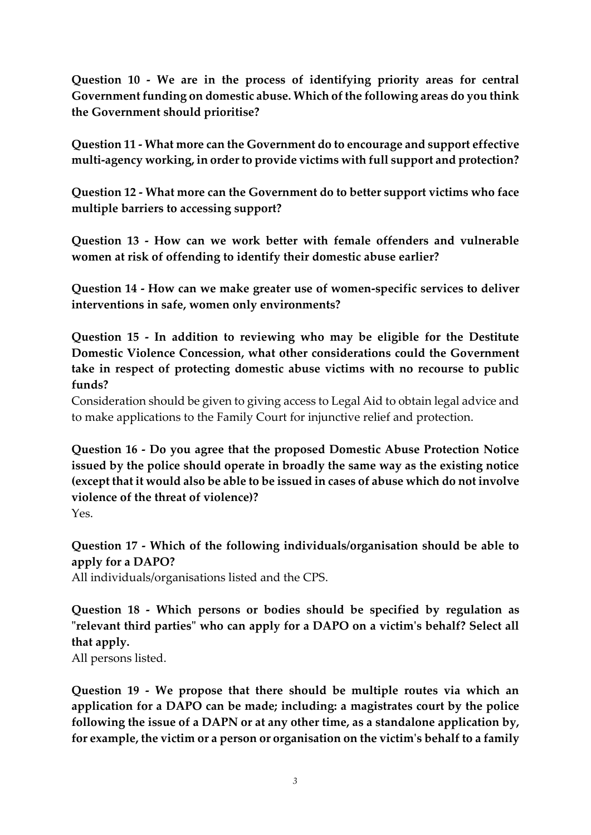**Question 10 - We are in the process of identifying priority areas for central Government funding on domestic abuse. Which of the following areas do you think the Government should prioritise?**

**Question 11 - What more can the Government do to encourage and support effective multi-agency working, in order to provide victims with full support and protection?**

**Question 12 - What more can the Government do to better support victims who face multiple barriers to accessing support?**

**Question 13 - How can we work better with female offenders and vulnerable women at risk of offending to identify their domestic abuse earlier?**

**Question 14 - How can we make greater use of women-specific services to deliver interventions in safe, women only environments?**

**Question 15 - In addition to reviewing who may be eligible for the Destitute Domestic Violence Concession, what other considerations could the Government take in respect of protecting domestic abuse victims with no recourse to public funds?**

Consideration should be given to giving access to Legal Aid to obtain legal advice and to make applications to the Family Court for injunctive relief and protection.

**Question 16 - Do you agree that the proposed Domestic Abuse Protection Notice issued by the police should operate in broadly the same way as the existing notice (except that it would also be able to be issued in cases of abuse which do not involve violence of the threat of violence)?** Yes.

**Question 17 - Which of the following individuals/organisation should be able to apply for a DAPO?** All individuals/organisations listed and the CPS.

**Question 18 - Which persons or bodies should be specified by regulation as "relevant third parties" who can apply for a DAPO on a victim's behalf? Select all that apply.**

All persons listed.

**Question 19 - We propose that there should be multiple routes via which an application for a DAPO can be made; including: a magistrates court by the police following the issue of a DAPN or at any other time, as a standalone application by, for example, the victim or a person or organisation on the victim's behalf to a family**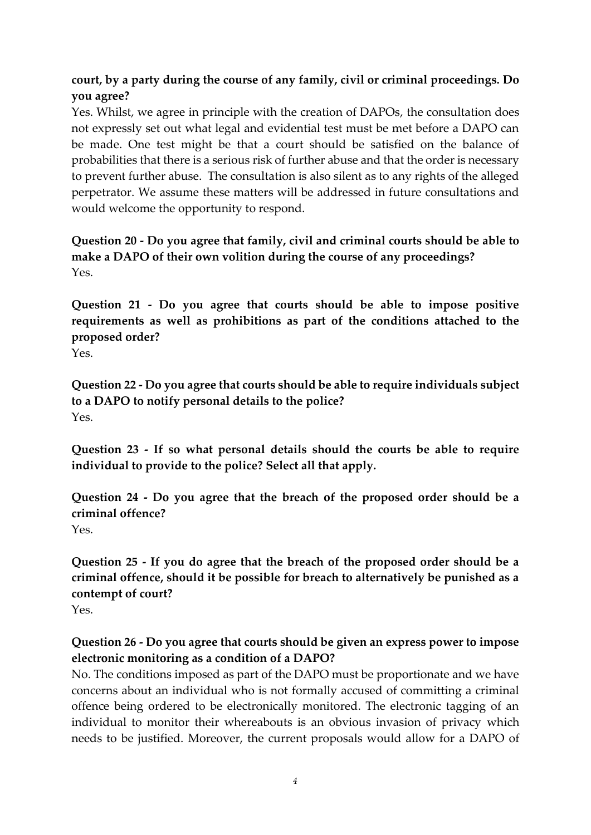## **court, by a party during the course of any family, civil or criminal proceedings. Do you agree?**

Yes. Whilst, we agree in principle with the creation of DAPOs, the consultation does not expressly set out what legal and evidential test must be met before a DAPO can be made. One test might be that a court should be satisfied on the balance of probabilities that there is a serious risk of further abuse and that the order is necessary to prevent further abuse. The consultation is also silent as to any rights of the alleged perpetrator. We assume these matters will be addressed in future consultations and would welcome the opportunity to respond.

### **Question 20 - Do you agree that family, civil and criminal courts should be able to make a DAPO of their own volition during the course of any proceedings?**  Yes.

**Question 21 - Do you agree that courts should be able to impose positive requirements as well as prohibitions as part of the conditions attached to the proposed order?**

Yes.

**Question 22 - Do you agree that courts should be able to require individuals subject to a DAPO to notify personal details to the police?** Yes.

**Question 23 - If so what personal details should the courts be able to require individual to provide to the police? Select all that apply.** 

**Question 24 - Do you agree that the breach of the proposed order should be a criminal offence?**  Yes.

**Question 25 - If you do agree that the breach of the proposed order should be a criminal offence, should it be possible for breach to alternatively be punished as a contempt of court?**

Yes.

### **Question 26 - Do you agree that courts should be given an express power to impose electronic monitoring as a condition of a DAPO?**

No. The conditions imposed as part of the DAPO must be proportionate and we have concerns about an individual who is not formally accused of committing a criminal offence being ordered to be electronically monitored. The electronic tagging of an individual to monitor their whereabouts is an obvious invasion of privacy which needs to be justified. Moreover, the current proposals would allow for a DAPO of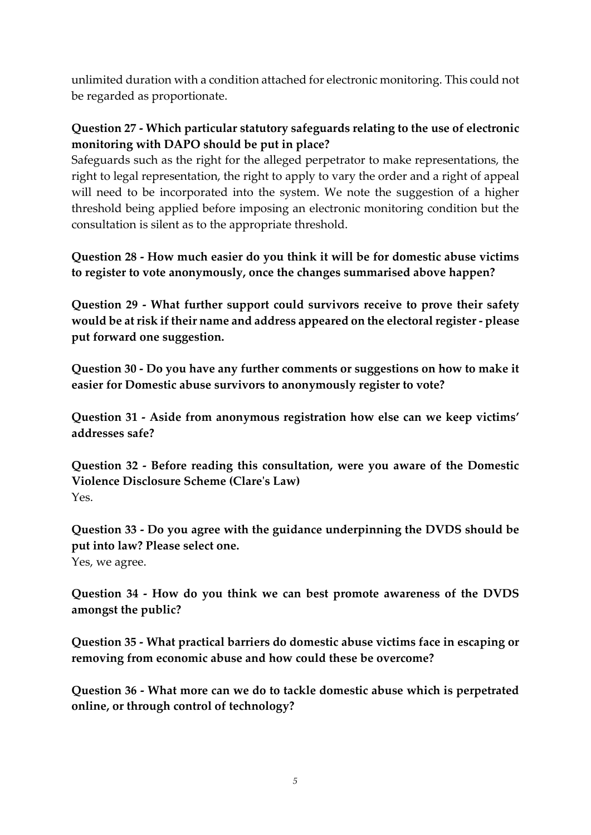unlimited duration with a condition attached for electronic monitoring. This could not be regarded as proportionate.

### **Question 27 - Which particular statutory safeguards relating to the use of electronic monitoring with DAPO should be put in place?**

Safeguards such as the right for the alleged perpetrator to make representations, the right to legal representation, the right to apply to vary the order and a right of appeal will need to be incorporated into the system. We note the suggestion of a higher threshold being applied before imposing an electronic monitoring condition but the consultation is silent as to the appropriate threshold.

**Question 28 - How much easier do you think it will be for domestic abuse victims to register to vote anonymously, once the changes summarised above happen?**

**Question 29 - What further support could survivors receive to prove their safety would be at risk if their name and address appeared on the electoral register - please put forward one suggestion.**

**Question 30 - Do you have any further comments or suggestions on how to make it easier for Domestic abuse survivors to anonymously register to vote?**

**Question 31 - Aside from anonymous registration how else can we keep victims' addresses safe?**

**Question 32 - Before reading this consultation, were you aware of the Domestic Violence Disclosure Scheme (Clare's Law)** Yes.

**Question 33 - Do you agree with the guidance underpinning the DVDS should be put into law? Please select one.** Yes, we agree.

**Question 34 - How do you think we can best promote awareness of the DVDS amongst the public?**

**Question 35 - What practical barriers do domestic abuse victims face in escaping or removing from economic abuse and how could these be overcome?**

**Question 36 - What more can we do to tackle domestic abuse which is perpetrated online, or through control of technology?**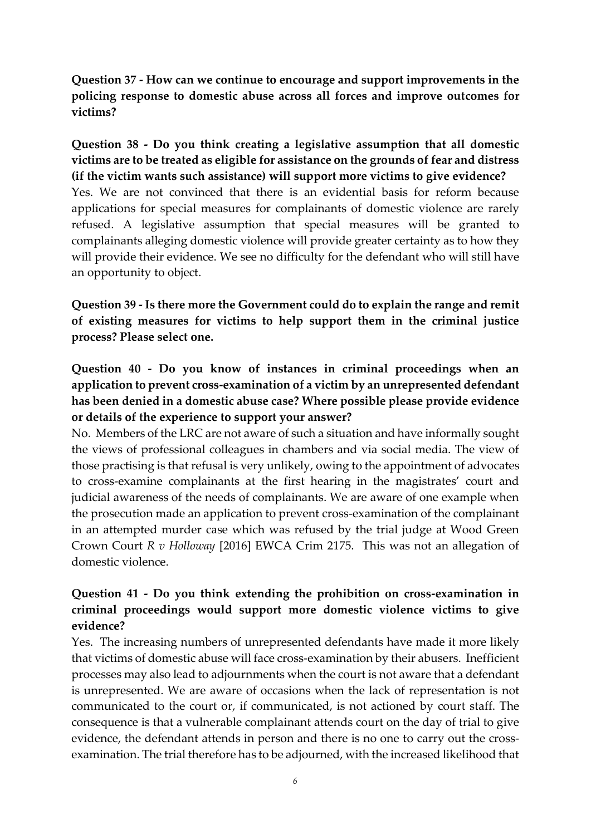**Question 37 - How can we continue to encourage and support improvements in the policing response to domestic abuse across all forces and improve outcomes for victims?**

**Question 38 - Do you think creating a legislative assumption that all domestic victims are to be treated as eligible for assistance on the grounds of fear and distress (if the victim wants such assistance) will support more victims to give evidence?**  Yes. We are not convinced that there is an evidential basis for reform because applications for special measures for complainants of domestic violence are rarely refused. A legislative assumption that special measures will be granted to complainants alleging domestic violence will provide greater certainty as to how they will provide their evidence. We see no difficulty for the defendant who will still have an opportunity to object.

**Question 39 - Is there more the Government could do to explain the range and remit of existing measures for victims to help support them in the criminal justice process? Please select one.** 

**Question 40 - Do you know of instances in criminal proceedings when an application to prevent cross-examination of a victim by an unrepresented defendant has been denied in a domestic abuse case? Where possible please provide evidence or details of the experience to support your answer?** 

No. Members of the LRC are not aware of such a situation and have informally sought the views of professional colleagues in chambers and via social media. The view of those practising is that refusal is very unlikely, owing to the appointment of advocates to cross-examine complainants at the first hearing in the magistrates' court and judicial awareness of the needs of complainants. We are aware of one example when the prosecution made an application to prevent cross-examination of the complainant in an attempted murder case which was refused by the trial judge at Wood Green Crown Court *R v Holloway* [2016] EWCA Crim 2175. This was not an allegation of domestic violence.

## **Question 41 - Do you think extending the prohibition on cross-examination in criminal proceedings would support more domestic violence victims to give evidence?**

Yes. The increasing numbers of unrepresented defendants have made it more likely that victims of domestic abuse will face cross-examination by their abusers. Inefficient processes may also lead to adjournments when the court is not aware that a defendant is unrepresented. We are aware of occasions when the lack of representation is not communicated to the court or, if communicated, is not actioned by court staff. The consequence is that a vulnerable complainant attends court on the day of trial to give evidence, the defendant attends in person and there is no one to carry out the crossexamination. The trial therefore has to be adjourned, with the increased likelihood that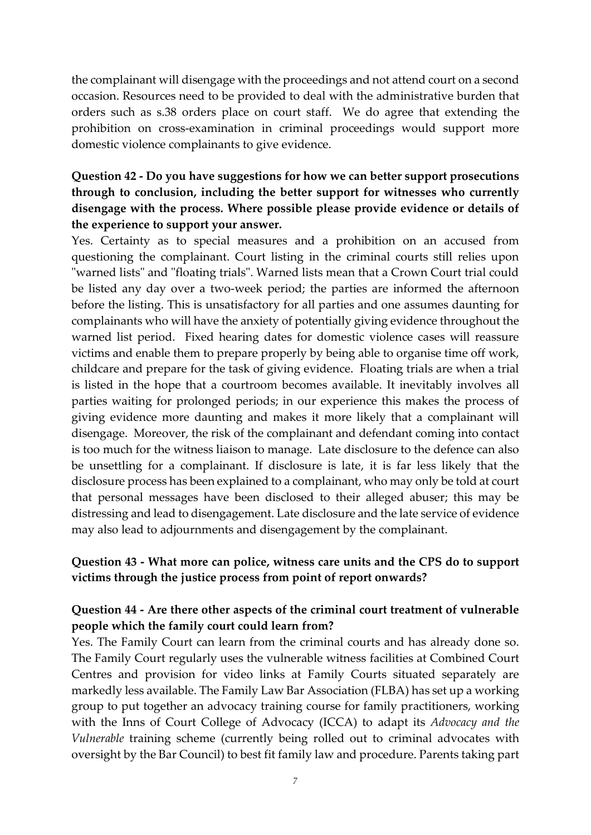the complainant will disengage with the proceedings and not attend court on a second occasion. Resources need to be provided to deal with the administrative burden that orders such as s.38 orders place on court staff. We do agree that extending the prohibition on cross-examination in criminal proceedings would support more domestic violence complainants to give evidence.

## **Question 42 - Do you have suggestions for how we can better support prosecutions through to conclusion, including the better support for witnesses who currently disengage with the process. Where possible please provide evidence or details of the experience to support your answer.**

Yes. Certainty as to special measures and a prohibition on an accused from questioning the complainant. Court listing in the criminal courts still relies upon "warned lists" and "floating trials". Warned lists mean that a Crown Court trial could be listed any day over a two-week period; the parties are informed the afternoon before the listing. This is unsatisfactory for all parties and one assumes daunting for complainants who will have the anxiety of potentially giving evidence throughout the warned list period. Fixed hearing dates for domestic violence cases will reassure victims and enable them to prepare properly by being able to organise time off work, childcare and prepare for the task of giving evidence. Floating trials are when a trial is listed in the hope that a courtroom becomes available. It inevitably involves all parties waiting for prolonged periods; in our experience this makes the process of giving evidence more daunting and makes it more likely that a complainant will disengage. Moreover, the risk of the complainant and defendant coming into contact is too much for the witness liaison to manage. Late disclosure to the defence can also be unsettling for a complainant. If disclosure is late, it is far less likely that the disclosure process has been explained to a complainant, who may only be told at court that personal messages have been disclosed to their alleged abuser; this may be distressing and lead to disengagement. Late disclosure and the late service of evidence may also lead to adjournments and disengagement by the complainant.

#### **Question 43 - What more can police, witness care units and the CPS do to support victims through the justice process from point of report onwards?**

#### **Question 44 - Are there other aspects of the criminal court treatment of vulnerable people which the family court could learn from?**

Yes. The Family Court can learn from the criminal courts and has already done so. The Family Court regularly uses the vulnerable witness facilities at Combined Court Centres and provision for video links at Family Courts situated separately are markedly less available. The Family Law Bar Association (FLBA) has set up a working group to put together an advocacy training course for family practitioners, working with the Inns of Court College of Advocacy (ICCA) to adapt its *Advocacy and the Vulnerable* training scheme (currently being rolled out to criminal advocates with oversight by the Bar Council) to best fit family law and procedure. Parents taking part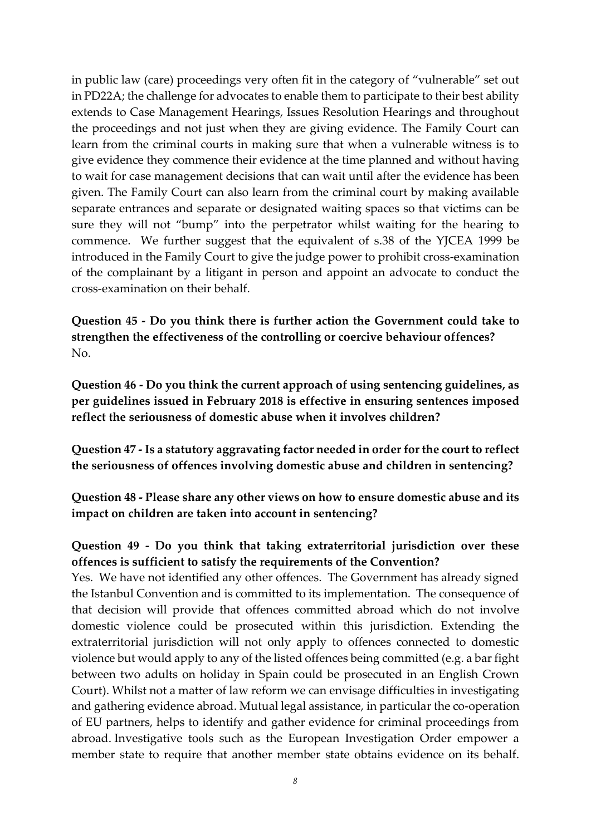in public law (care) proceedings very often fit in the category of "vulnerable" set out in PD22A; the challenge for advocates to enable them to participate to their best ability extends to Case Management Hearings, Issues Resolution Hearings and throughout the proceedings and not just when they are giving evidence. The Family Court can learn from the criminal courts in making sure that when a vulnerable witness is to give evidence they commence their evidence at the time planned and without having to wait for case management decisions that can wait until after the evidence has been given. The Family Court can also learn from the criminal court by making available separate entrances and separate or designated waiting spaces so that victims can be sure they will not "bump" into the perpetrator whilst waiting for the hearing to commence. We further suggest that the equivalent of s.38 of the YJCEA 1999 be introduced in the Family Court to give the judge power to prohibit cross-examination of the complainant by a litigant in person and appoint an advocate to conduct the cross-examination on their behalf.

**Question 45 - Do you think there is further action the Government could take to strengthen the effectiveness of the controlling or coercive behaviour offences?**  No.

**Question 46 - Do you think the current approach of using sentencing guidelines, as per guidelines issued in February 2018 is effective in ensuring sentences imposed reflect the seriousness of domestic abuse when it involves children?** 

**Question 47 - Is a statutory aggravating factor needed in order for the court to reflect the seriousness of offences involving domestic abuse and children in sentencing?** 

**Question 48 - Please share any other views on how to ensure domestic abuse and its impact on children are taken into account in sentencing?** 

## **Question 49 - Do you think that taking extraterritorial jurisdiction over these offences is sufficient to satisfy the requirements of the Convention?**

Yes. We have not identified any other offences. The Government has already signed the Istanbul Convention and is committed to its implementation. The consequence of that decision will provide that offences committed abroad which do not involve domestic violence could be prosecuted within this jurisdiction. Extending the extraterritorial jurisdiction will not only apply to offences connected to domestic violence but would apply to any of the listed offences being committed (e.g. a bar fight between two adults on holiday in Spain could be prosecuted in an English Crown Court). Whilst not a matter of law reform we can envisage difficulties in investigating and gathering evidence abroad. Mutual legal assistance, in particular the co-operation of EU partners, helps to identify and gather evidence for criminal proceedings from abroad. Investigative tools such as the European Investigation Order empower a member state to require that another member state obtains evidence on its behalf.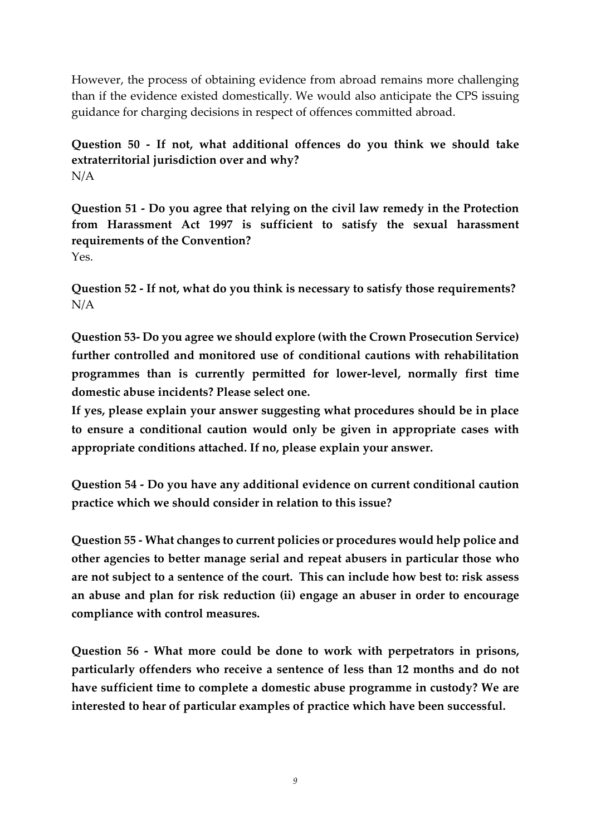However, the process of obtaining evidence from abroad remains more challenging than if the evidence existed domestically. We would also anticipate the CPS issuing guidance for charging decisions in respect of offences committed abroad.

**Question 50 - If not, what additional offences do you think we should take extraterritorial jurisdiction over and why?**  N/A

**Question 51 - Do you agree that relying on the civil law remedy in the Protection from Harassment Act 1997 is sufficient to satisfy the sexual harassment requirements of the Convention?**  Yes.

**Question 52 - If not, what do you think is necessary to satisfy those requirements?**  N/A

**Question 53- Do you agree we should explore (with the Crown Prosecution Service) further controlled and monitored use of conditional cautions with rehabilitation programmes than is currently permitted for lower-level, normally first time domestic abuse incidents? Please select one.** 

**If yes, please explain your answer suggesting what procedures should be in place to ensure a conditional caution would only be given in appropriate cases with appropriate conditions attached. If no, please explain your answer.**

**Question 54 - Do you have any additional evidence on current conditional caution practice which we should consider in relation to this issue?** 

**Question 55 - What changes to current policies or procedures would help police and other agencies to better manage serial and repeat abusers in particular those who are not subject to a sentence of the court. This can include how best to: risk assess an abuse and plan for risk reduction (ii) engage an abuser in order to encourage compliance with control measures.** 

**Question 56 - What more could be done to work with perpetrators in prisons, particularly offenders who receive a sentence of less than 12 months and do not have sufficient time to complete a domestic abuse programme in custody? We are interested to hear of particular examples of practice which have been successful.**